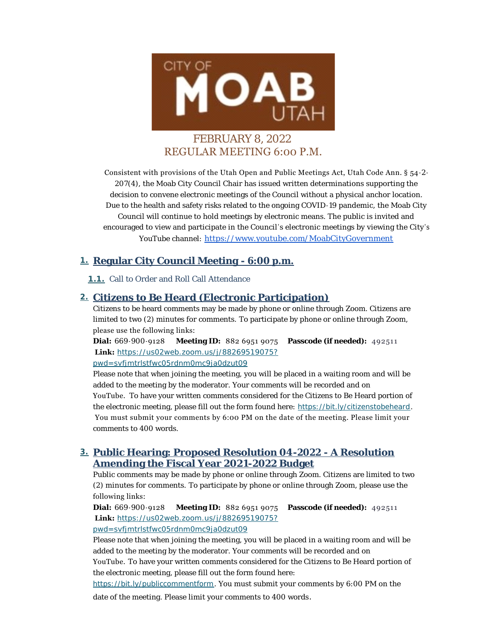

# FEBRUARY 8, 2022 REGULAR MEETING 6:00 P.M.

Consistent with provisions of the Utah Open and Public Meetings Act, Utah Code Ann. § 54-2- 207(4), the Moab City Council Chair has issued written determinations supporting the decision to convene electronic meetings of the Council without a physical anchor location. Due to the health and safety risks related to the ongoing COVID-19 pandemic, the Moab City Council will continue to hold meetings by electronic means. The public is invited and encouraged to view and participate in the Council's electronic meetings by viewing the City 's YouTube channel: [https://www.youtube.com/MoabCityGovernment](https://www.youtube.com/c/MoabCityGovernment)

## **Regular City Council Meeting - 6:00 p.m. 1.**

1.1. Call to Order and Roll Call Attendance

## **Citizens to Be Heard (Electronic Participation) 2.**

Citizens to be heard comments may be made by phone or online through Zoom. Citizens are limited to two (2) minutes for comments. To participate by phone or online through Zoom, please use the following links:

**Dial:** 669-900-9128 **Meeting ID:** 882 6951 9075 **Passcode (if needed):** 492511  **Link:** *[https://us02web.zoom.us/j/88269519075?](https://us02web.zoom.us/j/88269519075?pwd=SVFjMTRlSTFwc05RdnM0MC9Ja0dzUT09) pwd=svfjmtrlstfwc05rdnm0mc9ja0dzut09*

Please note that when joining the meeting, you will be placed in a waiting room and will be added to the meeting by the moderator. Your comments will be recorded and on YouTube. To have your written comments considered for the Citizens to Be Heard portion of the electronic meeting, please fill out the form found here: *<https://bit.ly/citizenstobeheard>*. You must submit your comments by 6:00 PM on the date of the meeting. Please limit your comments to 400 words.

## **Public Hearing: Proposed Resolution 04-2022 - A Resolution 3. Amending the Fiscal Year 2021-2022 Budget**

Public comments may be made by phone or online through Zoom. Citizens are limited to two (2) minutes for comments. To participate by phone or online through Zoom, please use the following links:

**Dial:** 669-900-9128 **Meeting ID:** 882 6951 9075 **Passcode (if needed):** 492511  **Link:** *[https://us02web.zoom.us/j/88269519075?](https://us02web.zoom.us/j/88269519075?pwd=SVFjMTRlSTFwc05RdnM0MC9Ja0dzUT09)*

*pwd=svfjmtrlstfwc05rdnm0mc9ja0dzut09*

Please note that when joining the meeting, you will be placed in a waiting room and will be added to the meeting by the moderator. Your comments will be recorded and on YouTube. To have your written comments considered for the Citizens to Be Heard portion of

[the electronic meeting, please fill ou](https://bit.ly/publiccommentform)t the form found here:

*https://bit.ly/publiccommentform*. You must submit your comments by 6:00 PM on the

date of the meeting. Please limit your comments to 400 words .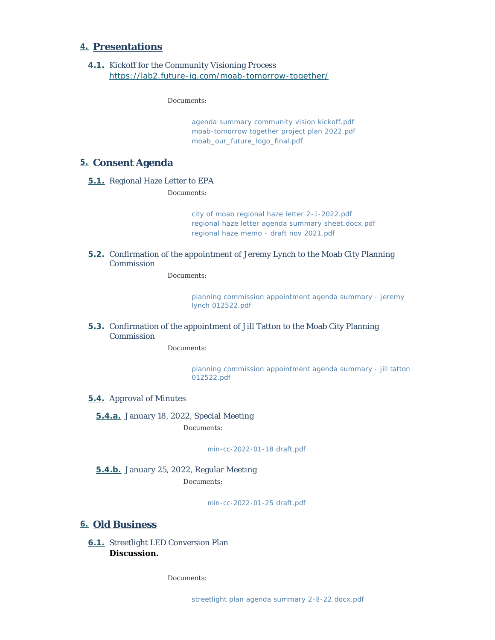#### **Presentations 4.**

**4.1.** Kickoff for the Community Visioning Process *<https://lab2.future-iq.com/moab-tomorrow-together/>*

*Documents:*

*[agenda summary community vision kickoff.pdf](https://moabcity.org/AgendaCenter/ViewFile/Item/4590?fileID=5581) [moab-tomorrow together project plan 2022.pdf](https://moabcity.org/AgendaCenter/ViewFile/Item/4590?fileID=5582) [moab\\_our\\_future\\_logo\\_final.pdf](https://moabcity.org/AgendaCenter/ViewFile/Item/4590?fileID=5583)*

#### **Consent Agenda 5.**

5.1. Regional Haze Letter to EPA

*Documents:*

*[city of moab regional haze letter 2-1-2022.pdf](https://moabcity.org/AgendaCenter/ViewFile/Item/4595?fileID=5590) [regional haze letter agenda summary sheet.docx.pdf](https://moabcity.org/AgendaCenter/ViewFile/Item/4595?fileID=5591) [regional haze memo - draft nov 2021.pdf](https://moabcity.org/AgendaCenter/ViewFile/Item/4595?fileID=5593)*

**5.2.** Confirmation of the appointment of Jeremy Lynch to the Moab City Planning Commission

#### *Documents:*

*[planning commission appointment agenda summary - jeremy](https://moabcity.org/AgendaCenter/ViewFile/Item/4477?fileID=5567)  lynch 012522.pdf*

**5.3.** Confirmation of the appointment of Jill Tatton to the Moab City Planning Commission

*Documents:*

*[planning commission appointment agenda summary - jill tatton](https://moabcity.org/AgendaCenter/ViewFile/Item/4478?fileID=5568)  012522.pdf*

#### **5.4.** Approval of Minutes

**5.4.a.** January 18, 2022, Special Meeting

*Documents:*

*[min-cc-2022-01-18 draft.pdf](https://moabcity.org/AgendaCenter/ViewFile/Item/4586?fileID=5579)*

#### **5.4.b.** January 25, 2022, Regular Meeting *Documents:*

*[min-cc-2022-01-25 draft.pdf](https://moabcity.org/AgendaCenter/ViewFile/Item/4587?fileID=5580)*

#### **Old Business 6.**

6.1. Streetlight LED Conversion Plan **Discussion.**

*Documents:*